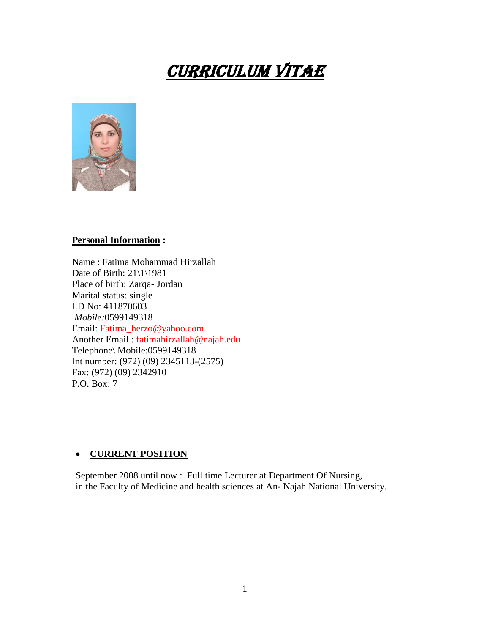# Curriculum Vitae



#### **Personal Information :**

Name : Fatima Mohammad Hirzallah Date of Birth: 21\1\1981 Place of birth: Zarqa- Jordan Marital status: single I.D No: 411870603 *Mobile:*0599149318 Email: Fatima\_herzo@yahoo.com Another Email : fatimahirzallah@najah.edu Telephone\ Mobile:0599149318 Int number: (972) (09) 2345113-(2575) Fax: (972) (09) 2342910 P.O. Box: 7

#### **CURRENT POSITION**

September 2008 until now : Full time Lecturer at Department Of Nursing, in the Faculty of Medicine and health sciences at An- Najah National University.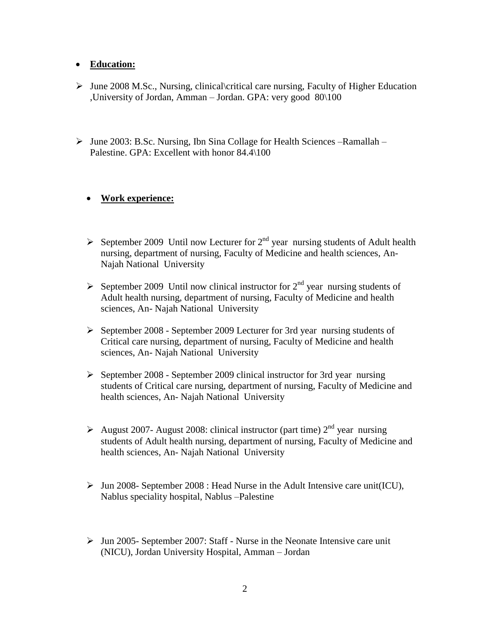### **Education:**

- $\triangleright$  June 2008 M.Sc., Nursing, clinical critical care nursing, Faculty of Higher Education ,University of Jordan, Amman – Jordan. GPA: very good 80\100
- $\triangleright$  June 2003: B.Sc. Nursing, Ibn Sina Collage for Health Sciences –Ramallah Palestine. GPA: Excellent with honor 84.4\100

# **Work experience:**

- September 2009 Until now Lecturer for  $2^{nd}$  year nursing students of Adult health nursing, department of nursing, Faculty of Medicine and health sciences, An-Najah National University
- September 2009 Until now clinical instructor for  $2<sup>nd</sup>$  year nursing students of Adult health nursing, department of nursing, Faculty of Medicine and health sciences, An- Najah National University
- $\triangleright$  September 2008 September 2009 Lecturer for 3rd year nursing students of Critical care nursing, department of nursing, Faculty of Medicine and health sciences, An- Najah National University
- $\triangleright$  September 2008 September 2009 clinical instructor for 3rd year nursing students of Critical care nursing, department of nursing, Faculty of Medicine and health sciences, An- Najah National University
- August 2007- August 2008: clinical instructor (part time)  $2<sup>nd</sup>$  year nursing students of Adult health nursing, department of nursing, Faculty of Medicine and health sciences, An- Najah National University
- $\triangleright$  Jun 2008- September 2008 : Head Nurse in the Adult Intensive care unit(ICU), Nablus speciality hospital, Nablus –Palestine
- $\triangleright$  Jun 2005- September 2007: Staff Nurse in the Neonate Intensive care unit (NICU), Jordan University Hospital, Amman – Jordan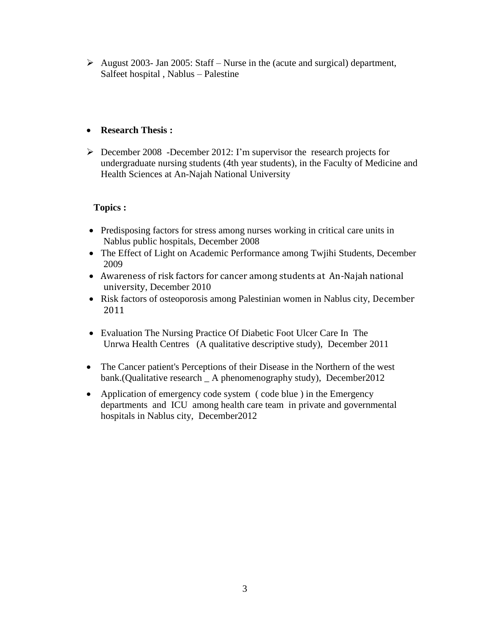$\triangleright$  August 2003- Jan 2005: Staff – Nurse in the (acute and surgical) department, Salfeet hospital , Nablus *–* Palestine

# **Research Thesis :**

 $\triangleright$  December 2008 -December 2012: I'm supervisor the research projects for undergraduate nursing students (4th year students), in the Faculty of Medicine and Health Sciences at An-Najah National University

## **Topics :**

- Predisposing factors for stress among nurses working in critical care units in Nablus public hospitals, December 2008
- The Effect of Light on Academic Performance among Twjihi Students, December 2009
- Awareness of risk factors for cancer among students at An-Najah national university, December 2010
- Risk factors of osteoporosis among Palestinian women in Nablus city, December 2011
- Evaluation The Nursing Practice Of Diabetic Foot Ulcer Care In The Unrwa Health Centres (A qualitative descriptive study), December 2011
- The Cancer patient's Perceptions of their Disease in the Northern of the west bank.(Qualitative research \_ A phenomenography study), December2012
- Application of emergency code system (code blue) in the Emergency departments and ICU among health care team in private and governmental hospitals in Nablus city, December2012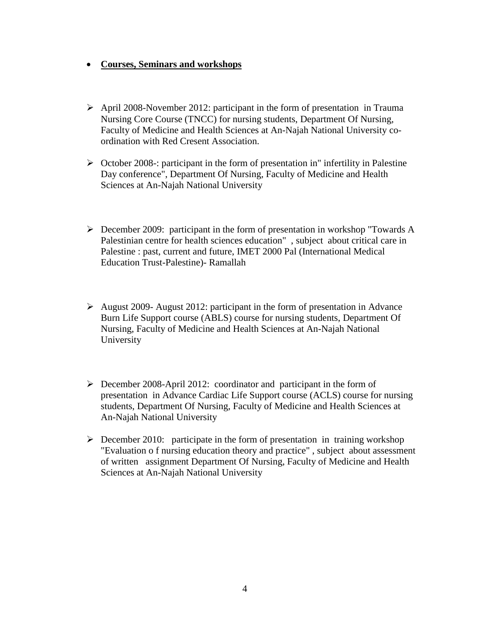#### **Courses, Seminars and workshops**

- $\triangleright$  April 2008-November 2012: participant in the form of presentation in Trauma Nursing Core Course (TNCC) for nursing students, Department Of Nursing, Faculty of Medicine and Health Sciences at An-Najah National University coordination with Red Cresent Association.
- $\triangleright$  October 2008-: participant in the form of presentation in" infertility in Palestine Day conference", Department Of Nursing, Faculty of Medicine and Health Sciences at An-Najah National University
- December 2009: participant in the form of presentation in workshop "Towards A Palestinian centre for health sciences education" , subject about critical care in Palestine : past, current and future, IMET 2000 Pal (International Medical Education Trust-Palestine)- Ramallah
- $\triangleright$  August 2009- August 2012: participant in the form of presentation in Advance Burn Life Support course (ABLS) course for nursing students, Department Of Nursing, Faculty of Medicine and Health Sciences at An-Najah National University
- December 2008-April 2012: coordinator and participant in the form of presentation in Advance Cardiac Life Support course (ACLS) course for nursing students, Department Of Nursing, Faculty of Medicine and Health Sciences at An-Najah National University
- $\triangleright$  December 2010: participate in the form of presentation in training workshop "Evaluation o f nursing education theory and practice" , subject about assessment of written assignment Department Of Nursing, Faculty of Medicine and Health Sciences at An-Najah National University